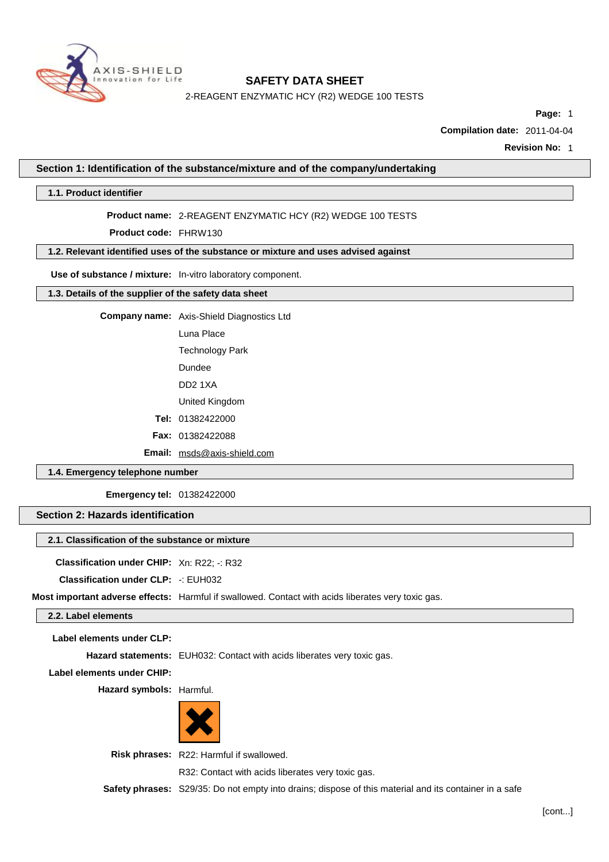

2-REAGENT ENZYMATIC HCY (R2) WEDGE 100 TESTS

**Page:** 1

**Compilation date:** 2011-04-04

**Revision No:** 1

**Section 1: Identification of the substance/mixture and of the company/undertaking**

**1.1. Product identifier**

### **Product name:** 2-REAGENT ENZYMATIC HCY (R2) WEDGE 100 TESTS

**Product code:** FHRW130

# **1.2. Relevant identified uses of the substance or mixture and uses advised against**

**Use of substance / mixture:** In-vitro laboratory component.

# **1.3. Details of the supplier of the safety data sheet**

**Company name:** Axis-Shield Diagnostics Ltd

Luna Place

Technology Park

Dundee

DD2 1XA

United Kingdom

**Tel:** 01382422000

**Fax:** 01382422088

**Email:** [msds@axis-shield.com](mailto:msds@axis-shield.com)

# **1.4. Emergency telephone number**

**Emergency tel:** 01382422000

### **Section 2: Hazards identification**

### **2.1. Classification of the substance or mixture**

**Classification under CHIP:** Xn: R22; -: R32

**Classification under CLP:** -: EUH032

**Most important adverse effects:** Harmful if swallowed. Contact with acids liberates very toxic gas.

### **2.2. Label elements**

**Label elements under CLP:**

**Hazard statements:** EUH032: Contact with acids liberates very toxic gas.

**Label elements under CHIP:**

**Hazard symbols:** Harmful.



**Risk phrases:** R22: Harmful if swallowed.

R32: Contact with acids liberates very toxic gas.

**Safety phrases:** S29/35: Do not empty into drains; dispose of this material and its container in a safe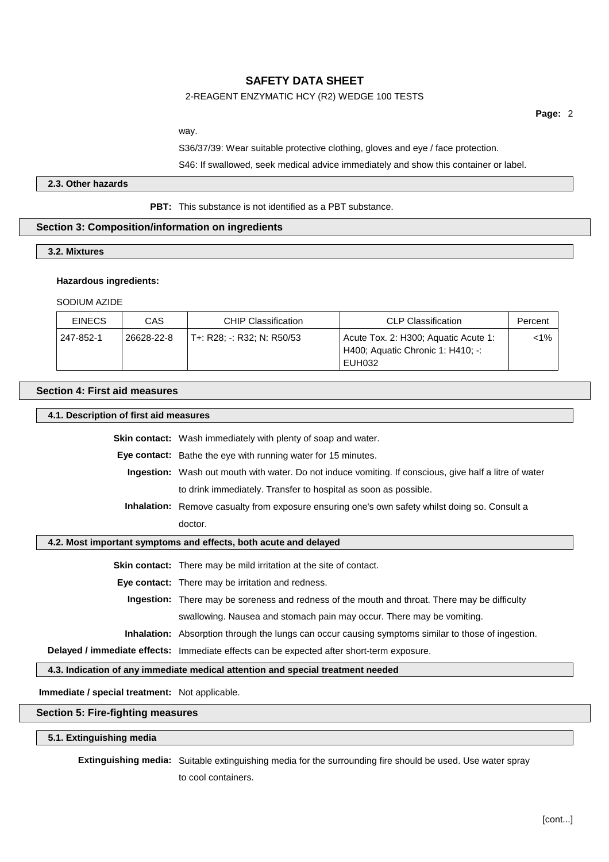### 2-REAGENT ENZYMATIC HCY (R2) WEDGE 100 TESTS

**Page:** 2

way.

S36/37/39: Wear suitable protective clothing, gloves and eye / face protection.

S46: If swallowed, seek medical advice immediately and show this container or label.

#### **2.3. Other hazards**

**PBT:** This substance is not identified as a PBT substance.

#### **Section 3: Composition/information on ingredients**

**3.2. Mixtures**

#### **Hazardous ingredients:**

SODIUM AZIDE

| <b>EINECS</b> | CAS        | <b>CHIP Classification</b> | <b>CLP Classification</b>                                                           | Percent |
|---------------|------------|----------------------------|-------------------------------------------------------------------------------------|---------|
| 247-852-1     | 26628-22-8 | T+: R28: -: R32: N: R50/53 | Acute Tox. 2: H300; Aquatic Acute 1:<br>H400; Aquatic Chronic 1: H410; -:<br>EUH032 | $1\%$   |

### **Section 4: First aid measures**

#### **4.1. Description of first aid measures**

**Skin contact:** Wash immediately with plenty of soap and water.

**Eye contact:** Bathe the eye with running water for 15 minutes.

- **Ingestion:** Wash out mouth with water. Do not induce vomiting. If conscious, give half a litre of water to drink immediately. Transfer to hospital as soon as possible.
- **Inhalation:** Remove casualty from exposure ensuring one's own safety whilst doing so. Consult a doctor.

#### **4.2. Most important symptoms and effects, both acute and delayed**

**Skin contact:** There may be mild irritation at the site of contact.

**Eye contact:** There may be irritation and redness.

**Ingestion:** There may be soreness and redness of the mouth and throat. There may be difficulty swallowing. Nausea and stomach pain may occur. There may be vomiting.

**Inhalation:** Absorption through the lungs can occur causing symptoms similar to those of ingestion.

**Delayed / immediate effects:** Immediate effects can be expected after short-term exposure.

**4.3. Indication of any immediate medical attention and special treatment needed**

**Immediate / special treatment:** Not applicable.

**Section 5: Fire-fighting measures**

**5.1. Extinguishing media**

**Extinguishing media:** Suitable extinguishing media for the surrounding fire should be used. Use water spray

to cool containers.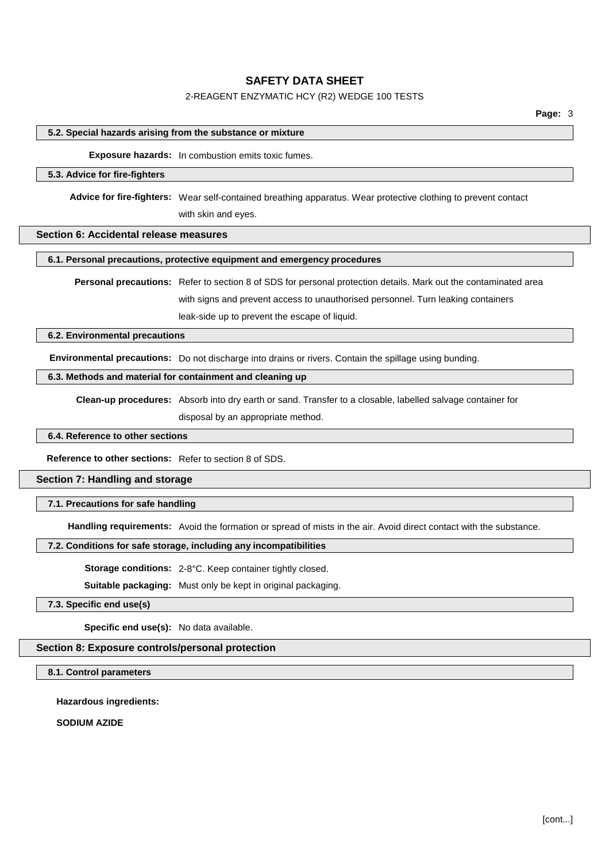## 2-REAGENT ENZYMATIC HCY (R2) WEDGE 100 TESTS

### **5.2. Special hazards arising from the substance or mixture**

**Exposure hazards:** In combustion emits toxic fumes.

#### **5.3. Advice for fire-fighters**

**Advice for fire-fighters:** Wear self-contained breathing apparatus. Wear protective clothing to prevent contact with skin and eyes.

### **Section 6: Accidental release measures**

### **6.1. Personal precautions, protective equipment and emergency procedures**

**Personal precautions:** Refer to section 8 of SDS for personal protection details. Mark out the contaminated area with signs and prevent access to unauthorised personnel. Turn leaking containers leak-side up to prevent the escape of liquid.

#### **6.2. Environmental precautions**

**Environmental precautions:** Do not discharge into drains or rivers. Contain the spillage using bunding.

## **6.3. Methods and material for containment and cleaning up**

**Clean-up procedures:** Absorb into dry earth or sand. Transfer to a closable, labelled salvage container for

disposal by an appropriate method.

#### **6.4. Reference to other sections**

**Reference to other sections:** Refer to section 8 of SDS.

#### **Section 7: Handling and storage**

#### **7.1. Precautions for safe handling**

**Handling requirements:** Avoid the formation or spread of mists in the air. Avoid direct contact with the substance.

### **7.2. Conditions for safe storage, including any incompatibilities**

**Storage conditions:** 2-8°C. Keep container tightly closed.

**Suitable packaging:** Must only be kept in original packaging.

### **7.3. Specific end use(s)**

**Specific end use(s):** No data available.

### **Section 8: Exposure controls/personal protection**

# **8.1. Control parameters**

**Hazardous ingredients:**

**SODIUM AZIDE**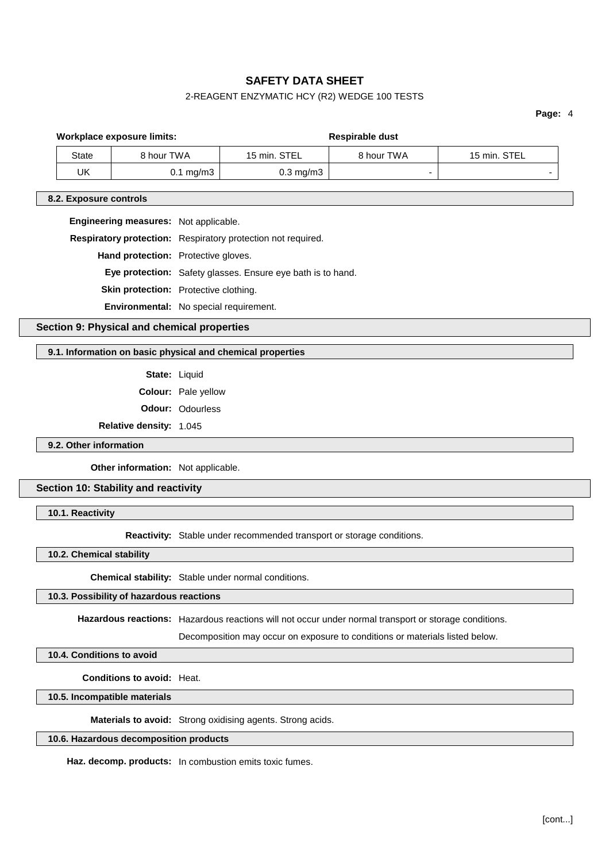# 2-REAGENT ENZYMATIC HCY (R2) WEDGE 100 TESTS

**Page:** 4

| Workplace exposure limits: |                      | <b>Respirable dust</b> |            |              |
|----------------------------|----------------------|------------------------|------------|--------------|
| <b>State</b>               | 8 hour TWA           | 15 min. STEL           | 8 hour TWA | 15 min. STEL |
| UK                         | $0.1 \text{ mg/m}$ 3 | $0.3 \text{ mg/m}$ 3   |            |              |
| 8.2. Exposure controls     |                      |                        |            |              |

**Engineering measures:** Not applicable.

| Respiratory protection: Respiratory protection not required. |  |
|--------------------------------------------------------------|--|
|--------------------------------------------------------------|--|

**Hand protection:** Protective gloves.

**Eye protection:** Safety glasses. Ensure eye bath is to hand.

**Skin protection:** Protective clothing.

**Environmental:** No special requirement.

# **Section 9: Physical and chemical properties**

### **9.1. Information on basic physical and chemical properties**

**State:** Liquid

**Colour:** Pale yellow

**Odour:** Odourless

**Relative density:** 1.045

**9.2. Other information**

**Other information:** Not applicable.

# **Section 10: Stability and reactivity**

**10.1. Reactivity**

**Reactivity:** Stable under recommended transport or storage conditions.

**10.2. Chemical stability**

**Chemical stability:** Stable under normal conditions.

# **10.3. Possibility of hazardous reactions**

**Hazardous reactions:** Hazardous reactions will not occur under normal transport or storage conditions.

Decomposition may occur on exposure to conditions or materials listed below.

# **10.4. Conditions to avoid**

**Conditions to avoid:** Heat.

**10.5. Incompatible materials**

**Materials to avoid:** Strong oxidising agents. Strong acids.

# **10.6. Hazardous decomposition products**

**Haz. decomp. products:** In combustion emits toxic fumes.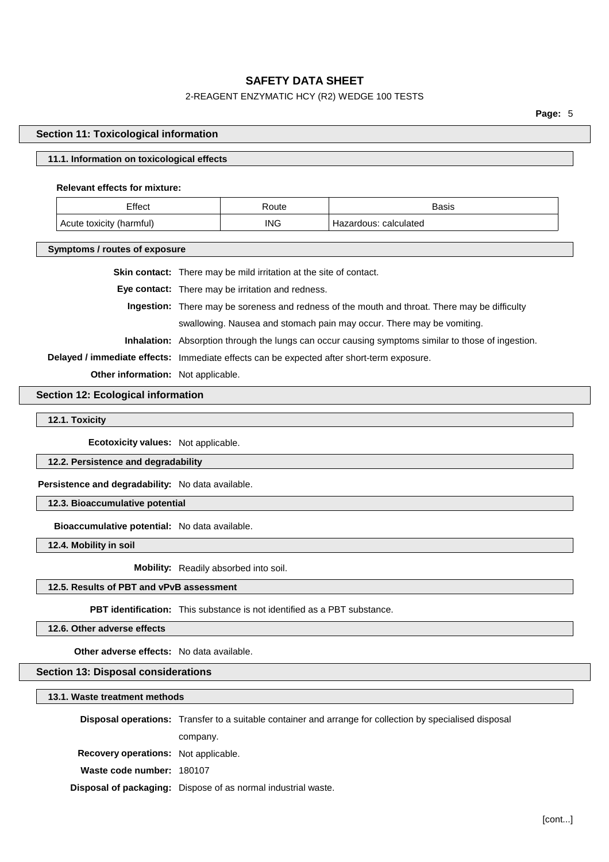# 2-REAGENT ENZYMATIC HCY (R2) WEDGE 100 TESTS

**Page:** 5

# **Section 11: Toxicological information**

# **11.1. Information on toxicological effects**

### **Relevant effects for mixture:**

| Effect                      | १oute      | Basis                    |
|-----------------------------|------------|--------------------------|
| 'harmful)<br>Acute toxicity | <b>ING</b> | calculated<br>Hazardous: |

**Symptoms / routes of exposure**

|                                           | <b>Skin contact:</b> There may be mild irritation at the site of contact.                                 |  |
|-------------------------------------------|-----------------------------------------------------------------------------------------------------------|--|
|                                           | <b>Eye contact:</b> There may be irritation and redness.                                                  |  |
|                                           | <b>Ingestion:</b> There may be soreness and redness of the mouth and throat. There may be difficulty      |  |
|                                           | swallowing. Nausea and stomach pain may occur. There may be vomiting.                                     |  |
|                                           | <b>Inhalation:</b> Absorption through the lungs can occur causing symptoms similar to those of ingestion. |  |
|                                           | Delayed / immediate effects: Immediate effects can be expected after short-term exposure.                 |  |
| <b>Other information:</b> Not applicable. |                                                                                                           |  |

# **Section 12: Ecological information**

**12.1. Toxicity**

**Ecotoxicity values:** Not applicable.

**12.2. Persistence and degradability**

**Persistence and degradability:** No data available.

**12.3. Bioaccumulative potential**

**Bioaccumulative potential:** No data available.

**12.4. Mobility in soil**

**Mobility:** Readily absorbed into soil.

### **12.5. Results of PBT and vPvB assessment**

**PBT identification:** This substance is not identified as a PBT substance.

**12.6. Other adverse effects**

**Other adverse effects:** No data available.

# **Section 13: Disposal considerations**

**13.1. Waste treatment methods**

**Disposal operations:** Transfer to a suitable container and arrange for collection by specialised disposal company. **Recovery operations:** Not applicable. **Waste code number:** 180107

**Disposal of packaging:** Dispose of as normal industrial waste.